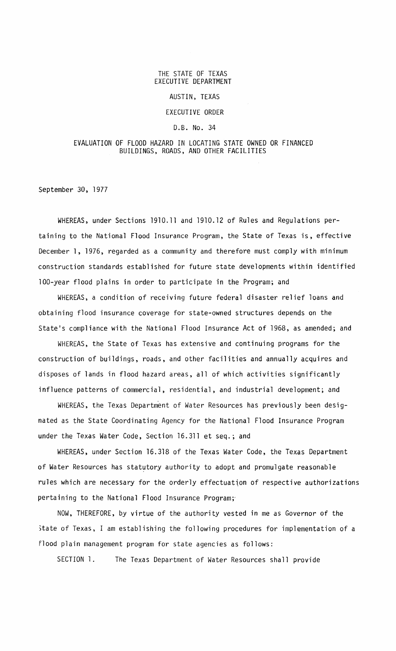# THE STATE OF TEXAS EXECUTIVE DEPARTMENT

## AUSTIN, TEXAS

## EXECUTIVE ORDER

## D.B. No. 34

## EVALUATION OF FLOOD HAZARD IN LOCATING STATE OWNED OR FINANCED BUILDINGS, ROADS, AND OTHER FACILITIES

September 30, 1977

WHEREAS, under Sections 1910.11 and 1910.12 of Rules and Regulations pertaining to the National Flood Insurance Program, the State of Texas is, effective December 1, 1976, regarded as a community and therefore must comply with minimum construction standards established for future state developments within identified 100-year flood plains in order to participate in the Program; and

WHEREAS, a condition of receiving future federal disaster relief loans and obtaining flood insurance coverage for state-owned structures depends on the State's compliance with the National Flood Insurance Act of 1968, as amended; and

WHEREAS, the State of Texas has extensive and continuing programs for the construction of buildings, roads, and other facilities and annually acquires and disposes of lands in flood hazard areas, all of which activities significantly influence patterns of commercial, residential, and industrial development; and

WHEREAS, the Texas Department of Water Resources has previously been designated as the State Coordinating Agency for the National Flood Insurance Program under the Texas Water Code, Section 16.311 et seq.; and

WHEREAS, under Section 16.318 of the Texas Water Code, the Texas Department of Water Resources has statutory authority to adopt and promulgate reasonable rules which are necessary for the orderly effectuation of respective authorizations pertaining to the National Flood Insurance Program;'

NOW, THEREFORE, by virtue of the authority vested in me as Governor of the State of Texas, I am establishing the following procedures for implementation of a Flood plain management program for state agencies as follows:

SECTION 1. The Texas Department of Water Resources shall provide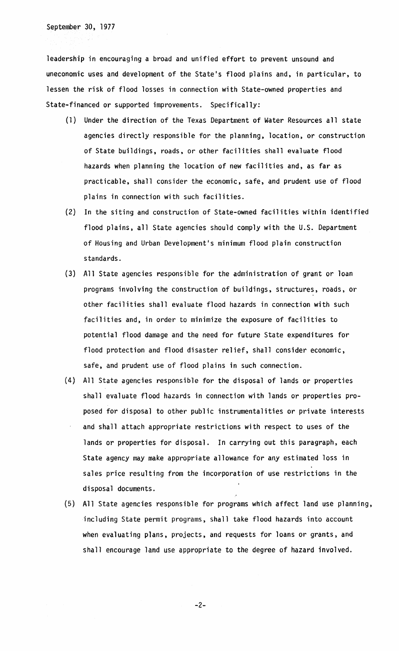September 30, 1977

leadership in encouraging a broad and unified effort to prevent unsound and uneconomic uses and development of the State's flood plains and, in particular, to lessen the risk of flood losses in connection with State-owned properties and State-financed or supported improvements. Specifically:

- (1) Under the direction of the Texas Department of Water Resources all state agencies directly responsible for the planning, location, or construction of State buildings. roads. or other facilities shall evaluate flood hazards when planning the location of new facilities and, as far as practicable, shall consider the economic, safe, and prudent use of flood plains in connection with such facilities.
- (2) In the siting and construction of State-owned facilities within identified flood plains, all State agencies should comply with the U.S. Department of Housing and Urban Development's minimum flood plain construction standards.
- (3) All State agencies responsible for the administration of grant or loan programs involving the construction of buildings, structures, roads, or other facilities shall evaluate flood hazards in connection with such facilities and, in order to minimize the exposure of facilities to potential flood damage and the need for future State expenditures for flood protection and flood disaster relief, shall consider economic, safe, and prudent use of flood plains in such connection.
- (4) All State agencies responsible for the disposal of lands or properties shall evaluate flood hazards in connection with lands or properties proposed for disposal to other public instrumentalities or private interests and shall attach appropriate restrictions with respect to uses of the lands or properties for disposal. In carrying out this paragraph, each State agency may make appropriate allowance for any estimated loss in sales price resulting from the incorporation of use restrictions in the disposal documents.
- (5) All State agencies responsible for programs which affect land use planning, including State permit programs. shall take flood hazards into account when evaluating plans, projects, and requests for loans or grants, and shall encourage land use appropriate to the degree of hazard involved.

-2-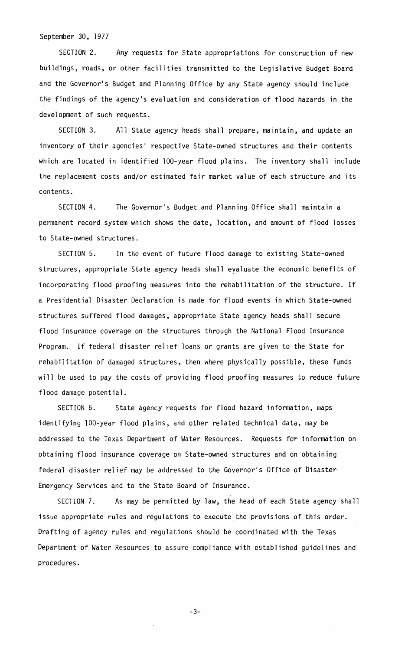## September 30, 1977

SECTION 2. Any requests for State appropriations for construction of new buildings, roads, or other facilities transmitted to the Legislative Budget Board and the Governor's Budget and Planning Office by any State agency should include the findings of the agency's evaluation and consideration of flood hazards in the development of such requests.

SECTION 3. All State agency heads shall prepare, maintain, and update an inventory of their agencies' respective State-owned structures and their contents which are located in identified 100-year flood plains. The inventory shall include the replacement costs and/or estimated fair market value of each structure and its contents.

SECTION 4. The Governor's Budget and Planning Office shall maintain a permanent record system which shows the date, location, and amount of flood losses to State-owned structures.

SECTION 5. In the event of future flood damage to existing State-owned structures, appropriate State agency heads shall evaluate the economic benefits of incorporating flood proofing measures into the rehabilitation of the structure. If a Presidential Disaster Declaration is made for flood events in which State-owned structures suffered flood damages, appropriate State agency heads shall secure flood insurance coverage on the structures through the National Flood Insurance Program. If federal disaster relief loans or grants are given to the State for rehabilitation of damaged structures, then where physically possible, these funds will be used to pay the costs of providing flood proofing measures to reduce future flood damage potential.

SECTION 6. State agency requests for flood hazard information, maps identifying lOO-year flood plains, and other related technical data, may be addressed to the Texas Department of Water Resources. Requests for information on obtaining flood insurance coverage on State-owned structures and on obtaining federal disaster relief may be addressed to the Governor's Office of bisaster Emergency Services and to the State Board of Insurance.

SECTION 7. As may be permitted by law, the head of each State agency shall issue appropriate rules and regulations to execute the provisions of this order. Drafting of agency rules and regulations should be coordinated with the Texas Department of Water Resources to assure compliance with established guidelines and procedures.

-3-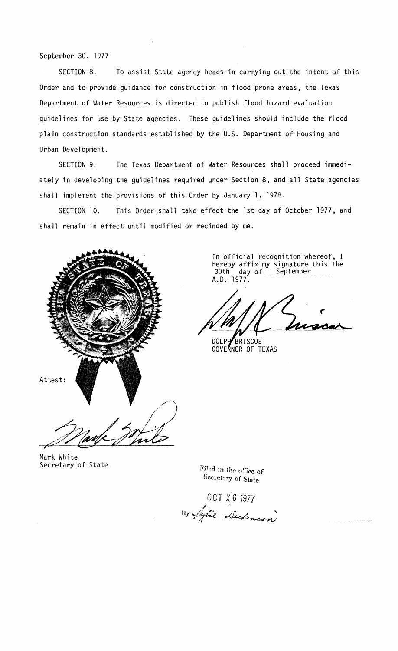# September 30, 1977

SECTION 8. To assist State agency heads in carrying out the intent of this Order and to provide guidance for construction in flood prone areas, the Texas Department of Water Resources is directed to publish flood hazard evaluation guidelines for use by State agencies. These guidelines should include the flood plain construction standards established by the U.S. Department of Housing and Urban Development.

SECTION 9. The Texas Department of Water Resources shall proceed immediately in developing the guidelines required under Section 8, and all State agencies shall implement the provisions of this Order by January 1, 1978.

SECTION 10. This Order shall take effect the 1st day of October 1977, and shall remain in effect until modified or recinded by me.



In official recognition whereof, I hereby affix my signature this the<br>30th day of September 30th day of A.D. 1977.

DOLPHBRISCOE GOVERNOR OF TEXAS

Mark White Secretary of State

Filed in the office of Secretary of State

OCT x'6 1977  $\mathcal{I}$  /  $\mathcal{I}$ OCT  $X_0^6$  1977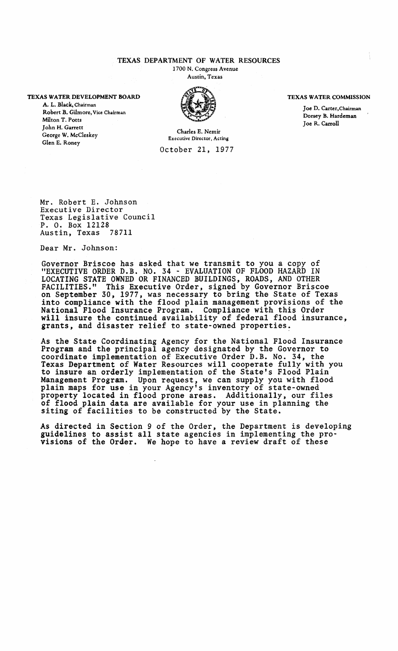## TEXAS DEPARTMENT OF WATER RESOURCES

1700 N. Congress Avenue Austin, Texas

#### TEXAS WATER DEVELOPMENT BOARD

A. L. Black, Chairman Robert B. Gilmore, Vice Chairman Milton T. Potts John H. Garrett George w. McCleskey Glen E. Roney



#### TEXAS WATER COMMISSION

Joe D. Carter,Chairman Dorsey B. Hardeman Joe R. Carroll

Charles E. Nemir Executive Director. Acting October 21, 1977

Mr. Robert E. Johnson Executive Director Texas Legislative Council P. O. Box 12128 Austin, Texas 78711

Dear Mr. Johnson:

Governor Briscoe has asked that we transmit to you a copy of "EXECUTIVE ORDER D.B. NO. 34 - EVALUATION OF FLOOD HAZARD IN LOCATING STATE OWNED OR FINANCED BUILDINGS, ROADS, AND OTHER FACILITIES." This Executive Order, signed by Governor Briscoe on September 30, 1977, was necessary to bring the State of Texas into compliance with the flood plain management provisions of the National Flood Insurance Program. Compliance with this Order will insure the continued availability of federal flood insurance, grants, and disaster relief to state-owned properties.

As the State Coordinating Agency for the National Flood Insurance Program and the principal agency designated by the Governor to coordinate implementation of Executive Order D.B. No. 34, the Texas Department of Water Resources will cooperate fully with you to insure an orderly implementation of the State's Flood Plain Management Program. Upon request, we can supply you with flood plain maps for use in your Agency's inventory of state-owned property located in flood prone areas. Additionally, our files of flood plain data are available for your use in planning the siting of facilities to be constructed by the State.

As directed in Section <sup>9</sup> of the Order, the Department is developing guidelines to assist all state agencies in implementing the pro- visions of the Order. We hope to have <sup>a</sup> review draft of these